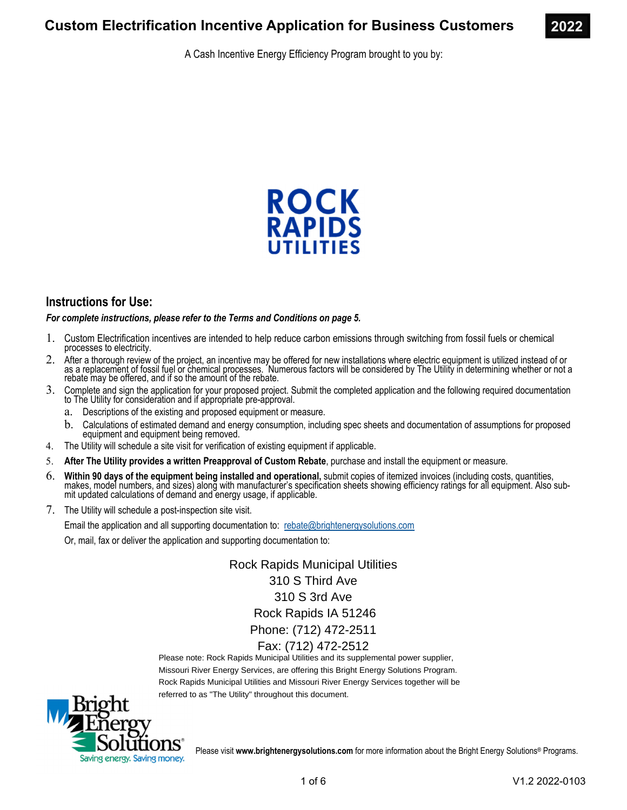A Cash Incentive Energy Efficiency Program brought to you by:



# **Instructions for Use:**

*For complete instructions, please refer to the Terms and Conditions on page 5.* 

- 1. Custom Electrification incentives are intended to help reduce carbon emissions through switching from fossil fuels or chemical processes to electricity.
- 2. After a thorough review of the project, an incentive may be offered for new installations where electric equipment is utilized instead of or as a replacement of fossil fuel or chemical processes. Numerous factors will be considered by The Utility in determining whether or not a rebate may be offered, and if so the amount of the rebate.
- 3. Complete and sign the application for your proposed project. Submit the completed application and the following required documentation to The Utility for consideration and if appropriate pre-approval.
	- a. Descriptions of the existing and proposed equipment or measure.
	- b. Calculations of estimated demand and energy consumption, including spec sheets and documentation of assumptions for proposed equipment and equipment being removed.
- 4. The Utility will schedule a site visit for verification of existing equipment if applicable.
- 5. **After The Utility provides a written Preapproval of Custom Rebate**, purchase and install the equipment or measure.
- 6. Within 90 days of the equipment being installed and operational, submit copies of itemized invoices (including costs, quantities, makes, model numbers, and sizes) along with manufacturer's specification sheets showing e mit updated calculations of demand and energy usage, if applicable.
- 7. The Utility will schedule a post-inspection site visit.

Email the application and all supporting documentation to: rebate@brightenergysolutions.com

Or, mail, fax or deliver the application and supporting documentation to:

Rock Rapids Municipal Utilities 310 S Third Ave 310 S 3rd Ave Rock Rapids IA 51246 Phone: (712) 472-2511 Fax: (712) 472-2512

Please note: Rock Rapids Municipal Utilities and its supplemental power supplier, Missouri River Energy Services, are offering this Bright Energy Solutions Program. Rock Rapids Municipal Utilities and Missouri River Energy Services together will be referred to as "The Utility" throughout this document.



Please visit **www.brightenergysolutions.com** for more information about the Bright Energy Solutions® Programs.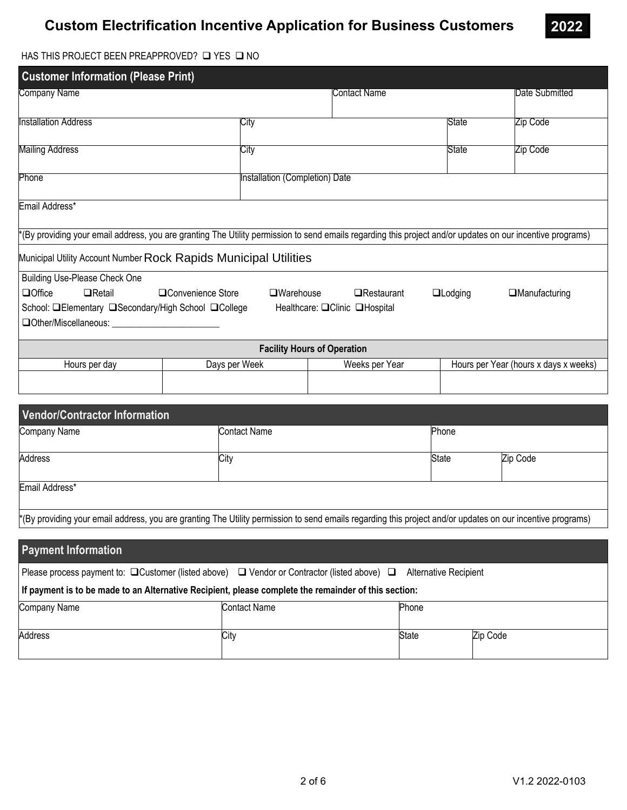# **Custom Electrification Incentive Application for Business Customers**



### HAS THIS PROJECT BEEN PREAPPROVED?  $\square$  YES  $\square$  NO

| <b>Customer Information (Please Print)</b>                                                                                                                 |                                                                         |                                    |  |                      |                                       |       |                |
|------------------------------------------------------------------------------------------------------------------------------------------------------------|-------------------------------------------------------------------------|------------------------------------|--|----------------------|---------------------------------------|-------|----------------|
| Company Name                                                                                                                                               |                                                                         |                                    |  | Contact Name         |                                       |       | Date Submitted |
| <b>Installation Address</b>                                                                                                                                | City                                                                    |                                    |  |                      |                                       | State | Zip Code       |
| Mailing Address                                                                                                                                            | City                                                                    |                                    |  |                      |                                       | State | Zip Code       |
| Phone                                                                                                                                                      |                                                                         | Installation (Completion) Date     |  |                      |                                       |       |                |
| Email Address*                                                                                                                                             |                                                                         |                                    |  |                      |                                       |       |                |
| *(By providing your email address, you are granting The Utility permission to send emails regarding this project and/or updates on our incentive programs) |                                                                         |                                    |  |                      |                                       |       |                |
| Municipal Utility Account Number Rock Rapids Municipal Utilities                                                                                           |                                                                         |                                    |  |                      |                                       |       |                |
| Building Use-Please Check One                                                                                                                              |                                                                         |                                    |  |                      |                                       |       |                |
| $\Box$ Office<br>$\Box$ Retail                                                                                                                             | □Convenience Store<br>$\Box$ Warehouse<br>□Restaurant<br>$\Box$ Lodging |                                    |  | $\Box$ Manufacturing |                                       |       |                |
| School: <b>QElementary QSecondary/High School QCollege</b><br>Healthcare: □Clinic □Hospital                                                                |                                                                         |                                    |  |                      |                                       |       |                |
|                                                                                                                                                            |                                                                         | <b>Facility Hours of Operation</b> |  |                      |                                       |       |                |
| Days per Week<br>Hours per day                                                                                                                             |                                                                         | Weeks per Year                     |  |                      | Hours per Year (hours x days x weeks) |       |                |
|                                                                                                                                                            |                                                                         |                                    |  |                      |                                       |       |                |
|                                                                                                                                                            |                                                                         |                                    |  |                      |                                       |       |                |

| Vendor/Contractor Information |                                                                                                                                                            |              |          |
|-------------------------------|------------------------------------------------------------------------------------------------------------------------------------------------------------|--------------|----------|
| Company Name                  | <b>Contact Name</b>                                                                                                                                        | Phone        |          |
| Address                       | City                                                                                                                                                       | <b>State</b> | Zip Code |
| Email Address*                |                                                                                                                                                            |              |          |
|                               | *(By providing your email address, you are granting The Utility permission to send emails regarding this project and/or updates on our incentive programs) |              |          |
|                               |                                                                                                                                                            |              |          |
| <b>Payment Information</b>    |                                                                                                                                                            |              |          |

| Please process payment to: $\Box$ Customer (listed above) $\Box$ Vendor or Contractor (listed above) $\Box$ Alternative Recipient |              |              |          |  |  |
|-----------------------------------------------------------------------------------------------------------------------------------|--------------|--------------|----------|--|--|
| If payment is to be made to an Alternative Recipient, please complete the remainder of this section:                              |              |              |          |  |  |
| Company Name                                                                                                                      | Contact Name | <b>Phone</b> |          |  |  |
| <b>Address</b>                                                                                                                    | City         | State        | Zip Code |  |  |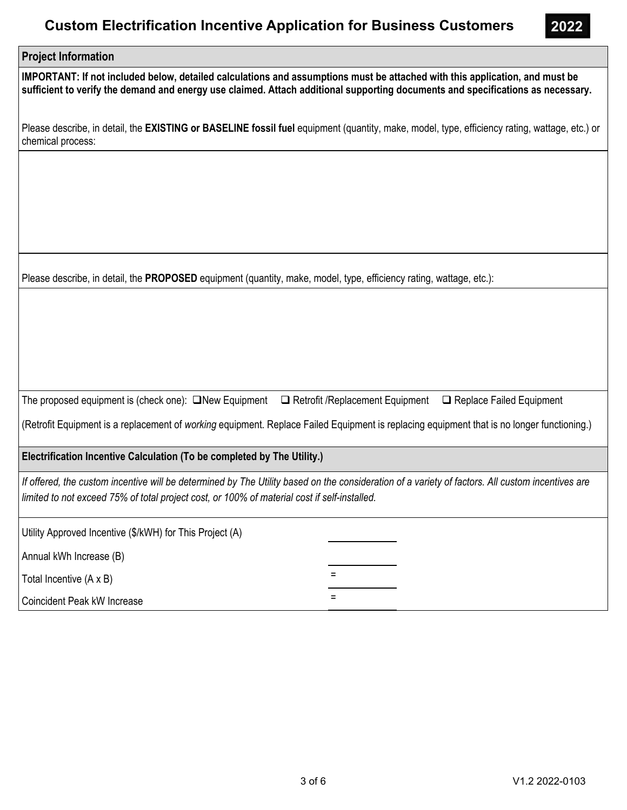# **Custom Electrification Incentive Application for Business Customers**



### **Project Information**

**IMPORTANT: If not included below, detailed calculations and assumptions must be attached with this application, and must be sufficient to verify the demand and energy use claimed. Attach additional supporting documents and specifications as necessary.**

Please describe, in detail, the **EXISTING or BASELINE fossil fuel** equipment (quantity, make, model, type, efficiency rating, wattage, etc.) or chemical process:

Please describe, in detail, the **PROPOSED** equipment (quantity, make, model, type, efficiency rating, wattage, etc.):

The proposed equipment is (check one):  $\Box$ New Equipment  $\Box$  Retrofit /Replacement Equipment  $\Box$  Replace Failed Equipment

(Retrofit Equipment is a replacement of *working* equipment. Replace Failed Equipment is replacing equipment that is no longer functioning.)

**Electrification Incentive Calculation (To be completed by The Utility.)** 

*If offered, the custom incentive will be determined by The Utility based on the consideration of a variety of factors. All custom incentives are limited to not exceed 75% of total project cost, or 100% of material cost if self-installed.*

Utility Approved Incentive (\$/kWH) for This Project (A)

Annual kWh Increase (B)

Total Incentive  $(A \times B)$ 

Coincident Peak kW Increase =  $\blacksquare$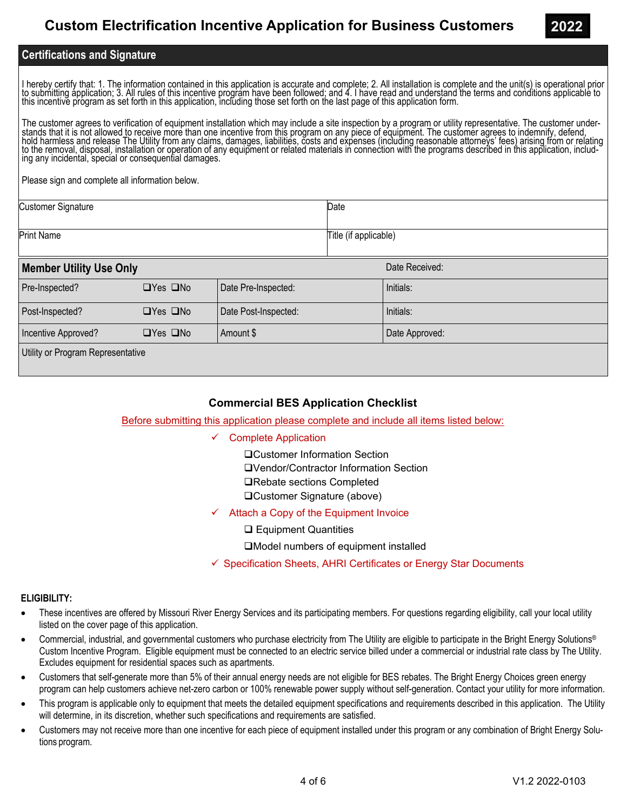# **Certifications and Signature**

I hereby certify that: 1. The information contained in this application is accurate and complete; 2. All installation is complete and the unit(s) is operational prior<br>to submitting application; 3. All rules of this incenti

The customer agrees to verification of equipment installation which may include a site inspection by a program or utility representative. The customer understands that it is not allowed to receive more than one incentive from this program on any piece of equipment. The customer agrees to indemnify, defend,<br>hold harmless and release The Utility from any claims, damages, liabil

Please sign and complete all information below.

| <b>Customer Signature</b> | Date                  |
|---------------------------|-----------------------|
| <b>Print Name</b>         | Title (if applicable) |

| <b>Member Utility Use Only</b>    |                      |                      | Date Received: |  |  |
|-----------------------------------|----------------------|----------------------|----------------|--|--|
| Pre-Inspected?                    | $\Box$ Yes $\Box$ No | Date Pre-Inspected:  | Initials:      |  |  |
| Post-Inspected?                   | $\Box$ Yes $\Box$ No | Date Post-Inspected: | Initials:      |  |  |
| Incentive Approved?               | $\Box$ Yes $\Box$ No | Amount \$            | Date Approved: |  |  |
| Utility or Program Representative |                      |                      |                |  |  |

## **Commercial BES Application Checklist**

Before submitting this application please complete and include all items listed below:

- Complete Application
	- Customer Information Section
	- Vendor/Contractor Information Section
	- **□Rebate sections Completed**
	- Customer Signature (above)
- Attach a Copy of the Equipment Invoice
	- **□ Equipment Quantities**

Model numbers of equipment installed

 $\checkmark$  Specification Sheets, AHRI Certificates or Energy Star Documents

### **ELIGIBILITY:**

- These incentives are offered by Missouri River Energy Services and its participating members. For questions regarding eligibility, call your local utility listed on the cover page of this application.
- Commercial, industrial, and governmental customers who purchase electricity from The Utility are eligible to participate in the Bright Energy Solutions® Custom Incentive Program. Eligible equipment must be connected to an electric service billed under a commercial or industrial rate class by The Utility. Excludes equipment for residential spaces such as apartments.
- Customers that self-generate more than 5% of their annual energy needs are not eligible for BES rebates. The Bright Energy Choices green energy program can help customers achieve net-zero carbon or 100% renewable power supply without self-generation. Contact your utility for more information.
- This program is applicable only to equipment that meets the detailed equipment specifications and requirements described in this application. The Utility will determine, in its discretion, whether such specifications and requirements are satisfied.
- Customers may not receive more than one incentive for each piece of equipment installed under this program or any combination of Bright Energy Solutions program.